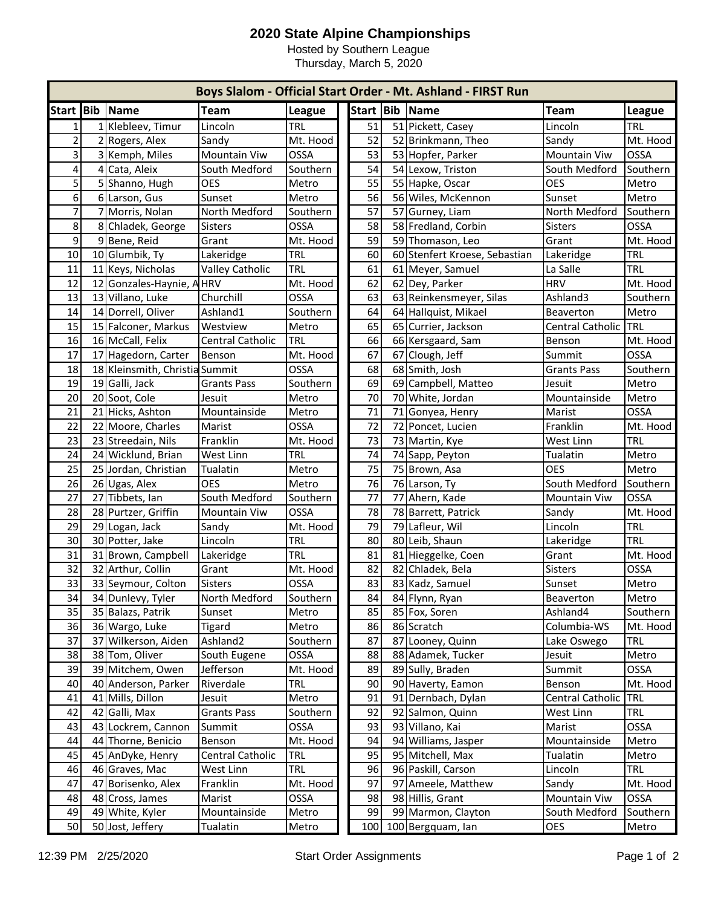## **2020 State Alpine Championships**

Hosted by Southern League Thursday, March 5, 2020

|                |    |                                |                        | Boys Slalom - Official Start Order - Mt. Ashland - FIRST Run |     |    |                               |                    |               |
|----------------|----|--------------------------------|------------------------|--------------------------------------------------------------|-----|----|-------------------------------|--------------------|---------------|
| <b>Start</b>   |    | <b>Bib Name</b>                | Team                   | <b>League</b>                                                |     |    | Start   Bib   Name            | <b>Team</b>        | <b>League</b> |
| $1\vert$       |    | 1 Klebleev, Timur              | Lincoln                | <b>TRL</b>                                                   | 51  |    | 51 Pickett, Casey             | Lincoln            | <b>TRL</b>    |
| $\overline{2}$ |    | 2 Rogers, Alex                 | Sandy                  | Mt. Hood                                                     | 52  |    | 52 Brinkmann, Theo            | Sandy              | Mt. Hood      |
| $\overline{3}$ |    | 3 Kemph, Miles                 | <b>Mountain Viw</b>    | OSSA                                                         | 53  |    | 53 Hopfer, Parker             | Mountain Viw       | OSSA          |
| $\overline{4}$ |    | 4 Cata, Aleix                  | South Medford          | Southern                                                     | 54  |    | 54 Lexow, Triston             | South Medford      | Southern      |
| 5 <sup>1</sup> |    | 5 Shanno, Hugh                 | <b>OES</b>             | Metro                                                        | 55  |    | 55 Hapke, Oscar               | <b>OES</b>         | Metro         |
| $6 \mid$       |    | 6 Larson, Gus                  | Sunset                 | Metro                                                        | 56  |    | 56 Wiles, McKennon            | Sunset             | Metro         |
| $\overline{7}$ |    | 7 Morris, Nolan                | North Medford          | Southern                                                     | 57  |    | 57 Gurney, Liam               | North Medford      | Southern      |
| 8              |    | 8 Chladek, George              | <b>Sisters</b>         | <b>OSSA</b>                                                  | 58  |    | 58 Fredland, Corbin           | <b>Sisters</b>     | <b>OSSA</b>   |
| 9              |    | 9Bene, Reid                    | Grant                  | Mt. Hood                                                     | 59  |    | 59 Thomason, Leo              | Grant              | Mt. Hood      |
| 10             |    | 10 Glumbik, Ty                 | Lakeridge              | <b>TRL</b>                                                   | 60  |    | 60 Stenfert Kroese, Sebastian | Lakeridge          | <b>TRL</b>    |
| 11             |    | 11 Keys, Nicholas              | <b>Valley Catholic</b> | <b>TRL</b>                                                   | 61  |    | 61 Meyer, Samuel              | La Salle           | <b>TRL</b>    |
| 12             |    | 12 Gonzales-Haynie, AHRV       |                        | Mt. Hood                                                     | 62  |    | 62 Dey, Parker                | <b>HRV</b>         | Mt. Hood      |
| 13             |    | 13 Villano, Luke               | Churchill              | <b>OSSA</b>                                                  | 63  |    | 63 Reinkensmeyer, Silas       | Ashland3           | Southern      |
| 14             |    | 14 Dorrell, Oliver             | Ashland1               | Southern                                                     | 64  |    | 64 Hallquist, Mikael          | Beaverton          | Metro         |
| 15             |    | 15 Falconer, Markus            | Westview               | Metro                                                        | 65  |    | 65 Currier, Jackson           | Central Catholic   | TRL           |
| 16             |    | 16 McCall, Felix               | Central Catholic       | <b>TRL</b>                                                   | 66  |    | 66 Kersgaard, Sam             | Benson             | Mt. Hood      |
| 17             |    | 17 Hagedorn, Carter            | Benson                 | Mt. Hood                                                     | 67  |    | 67 Clough, Jeff               | Summit             | <b>OSSA</b>   |
| 18             |    | 18 Kleinsmith, Christia Summit |                        | OSSA                                                         | 68  |    | 68 Smith, Josh                | <b>Grants Pass</b> | Southern      |
| 19             |    | 19 Galli, Jack                 | <b>Grants Pass</b>     | Southern                                                     | 69  |    | 69 Campbell, Matteo           | Jesuit             | Metro         |
| 20             |    | 20 Soot, Cole                  | Jesuit                 | Metro                                                        | 70  |    | 70 White, Jordan              | Mountainside       | Metro         |
| 21             |    | 21 Hicks, Ashton               | Mountainside           | Metro                                                        | 71  | 71 | Gonyea, Henry                 | Marist             | <b>OSSA</b>   |
| 22             |    | 22 Moore, Charles              | Marist                 | <b>OSSA</b>                                                  | 72  |    | 72 Poncet, Lucien             | Franklin           | Mt. Hood      |
| 23             |    | 23 Streedain, Nils             | Franklin               | Mt. Hood                                                     | 73  |    | 73 Martin, Kye                | West Linn          | <b>TRL</b>    |
| 24             |    | 24 Wicklund, Brian             | West Linn              | <b>TRL</b>                                                   | 74  |    | 74 Sapp, Peyton               | Tualatin           | Metro         |
| 25             |    | 25 Jordan, Christian           | Tualatin               | Metro                                                        | 75  |    | 75 Brown, Asa                 | <b>OES</b>         | Metro         |
| 26             |    | 26 Ugas, Alex                  | <b>OES</b>             | Metro                                                        | 76  |    | 76 Larson, Ty                 | South Medford      | Southern      |
| 27             |    | 27 Tibbets, Ian                | South Medford          | Southern                                                     | 77  |    | 77 Ahern, Kade                | Mountain Viw       | OSSA          |
| 28             |    | 28 Purtzer, Griffin            | <b>Mountain Viw</b>    | OSSA                                                         | 78  |    | 78 Barrett, Patrick           | Sandy              | Mt. Hood      |
| 29             |    | 29 Logan, Jack                 | Sandy                  | Mt. Hood                                                     | 79  |    | 79 Lafleur, Wil               | Lincoln            | <b>TRL</b>    |
| 30             |    | 30 Potter, Jake                | Lincoln                | <b>TRL</b>                                                   | 80  |    | 80 Leib, Shaun                | Lakeridge          | <b>TRL</b>    |
| 31             |    | 31 Brown, Campbell             | Lakeridge              | <b>TRL</b>                                                   | 81  |    | 81 Hieggelke, Coen            | Grant              | Mt. Hood      |
| 32             |    | 32 Arthur, Collin              | Grant                  | Mt. Hood                                                     | 82  | 82 | Chladek, Bela                 | <b>Sisters</b>     | <b>OSSA</b>   |
| 33             |    | 33 Seymour, Colton             | <b>Sisters</b>         | OSSA                                                         | 83  |    | 83 Kadz, Samuel               | Sunset             | Metro         |
| 34             |    | 34 Dunlevy, Tyler              | North Medford          | Southern                                                     | 84  |    | 84 Flynn, Ryan                | Beaverton          | Metro         |
| 35             |    | 35 Balazs, Patrik              | Sunset                 | Metro                                                        | 85  |    | 85 Fox, Soren                 | Ashland4           | Southern      |
| 36             |    | 36 Wargo, Luke                 | Tigard                 | Metro                                                        | 86  |    | 86 Scratch                    | Columbia-WS        | Mt. Hood      |
| 37             | 37 | Wilkerson, Aiden               | Ashland <sub>2</sub>   | Southern                                                     | 87  |    | 87 Looney, Quinn              | Lake Oswego        | <b>TRL</b>    |
| 38             |    | 38 Tom, Oliver                 | South Eugene           | OSSA                                                         | 88  |    | 88 Adamek, Tucker             | Jesuit             | Metro         |
| 39             |    | 39 Mitchem, Owen               | Jefferson              | Mt. Hood                                                     | 89  |    | 89 Sully, Braden              | Summit             | OSSA          |
| 40             |    | 40 Anderson, Parker            | Riverdale              | <b>TRL</b>                                                   | 90  |    | 90 Haverty, Eamon             | Benson             | Mt. Hood      |
| 41             |    | 41 Mills, Dillon               | Jesuit                 | Metro                                                        | 91  |    | 91 Dernbach, Dylan            | Central Catholic   | <b>TRL</b>    |
| 42             |    | 42 Galli, Max                  | <b>Grants Pass</b>     | Southern                                                     | 92  | 92 | Salmon, Quinn                 | West Linn          | <b>TRL</b>    |
| 43             |    | 43 Lockrem, Cannon             | Summit                 | OSSA                                                         | 93  | 93 | Villano, Kai                  | Marist             | OSSA          |
| 44             |    | 44 Thorne, Benicio             | Benson                 | Mt. Hood                                                     | 94  | 94 | Williams, Jasper              | Mountainside       | Metro         |
| 45             |    | 45 AnDyke, Henry               | Central Catholic       | <b>TRL</b>                                                   | 95  | 95 | Mitchell, Max                 | Tualatin           | Metro         |
| 46             |    | 46 Graves, Mac                 | West Linn              | TRL                                                          | 96  |    | 96 Paskill, Carson            | Lincoln            | <b>TRL</b>    |
| 47             | 47 | Borisenko, Alex                | Franklin               | Mt. Hood                                                     | 97  | 97 | Ameele, Matthew               | Sandy              | Mt. Hood      |
| 48             |    | 48 Cross, James                | Marist                 | OSSA                                                         | 98  |    | 98 Hillis, Grant              | Mountain Viw       | OSSA          |
| 49             |    | 49 White, Kyler                | Mountainside           | Metro                                                        | 99  |    | 99 Marmon, Clayton            | South Medford      | Southern      |
| 50             |    | 50 Jost, Jeffery               | Tualatin               | Metro                                                        | 100 |    | 100 Bergquam, lan             | OES                | Metro         |